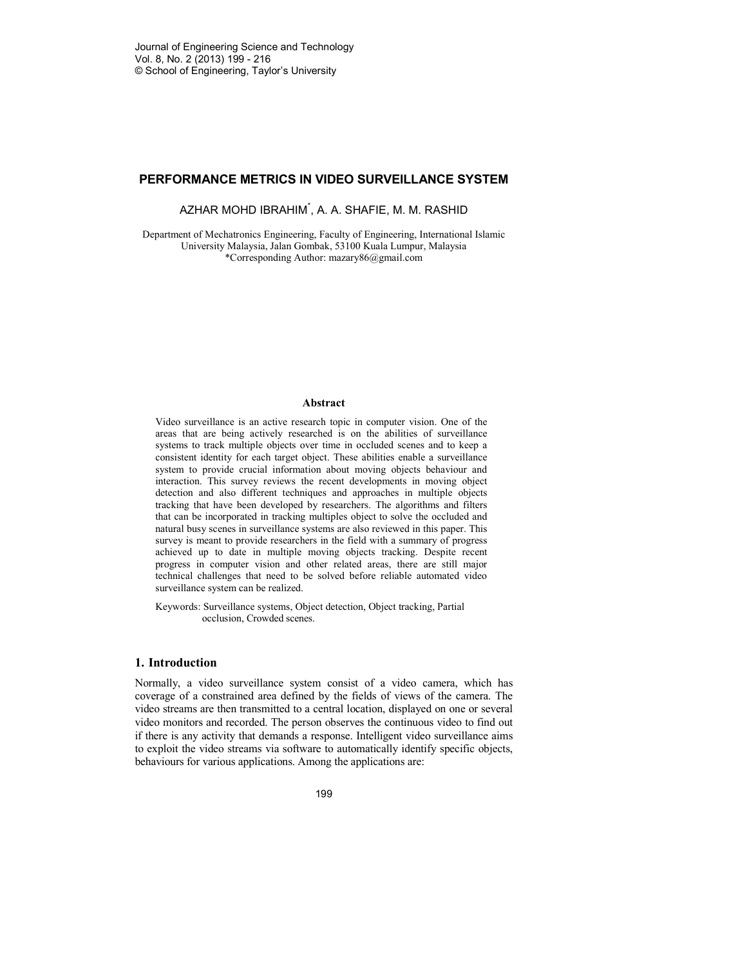# **PERFORMANCE METRICS IN VIDEO SURVEILLANCE SYSTEM**

AZHAR MOHD IBRAHIM\* , A. A. SHAFIE, M. M. RASHID

Department of Mechatronics Engineering, Faculty of Engineering, International Islamic University Malaysia, Jalan Gombak, 53100 Kuala Lumpur, Malaysia \*Corresponding Author: mazary86@gmail.com

## **Abstract**

Video surveillance is an active research topic in computer vision. One of the areas that are being actively researched is on the abilities of surveillance systems to track multiple objects over time in occluded scenes and to keep a consistent identity for each target object. These abilities enable a surveillance system to provide crucial information about moving objects behaviour and interaction. This survey reviews the recent developments in moving object detection and also different techniques and approaches in multiple objects tracking that have been developed by researchers. The algorithms and filters that can be incorporated in tracking multiples object to solve the occluded and natural busy scenes in surveillance systems are also reviewed in this paper. This survey is meant to provide researchers in the field with a summary of progress achieved up to date in multiple moving objects tracking. Despite recent progress in computer vision and other related areas, there are still major technical challenges that need to be solved before reliable automated video surveillance system can be realized.

Keywords: Surveillance systems, Object detection, Object tracking, Partial occlusion, Crowded scenes.

# **1. Introduction**

Normally, a video surveillance system consist of a video camera, which has coverage of a constrained area defined by the fields of views of the camera. The video streams are then transmitted to a central location, displayed on one or several video monitors and recorded. The person observes the continuous video to find out if there is any activity that demands a response. Intelligent video surveillance aims to exploit the video streams via software to automatically identify specific objects, behaviours for various applications. Among the applications are: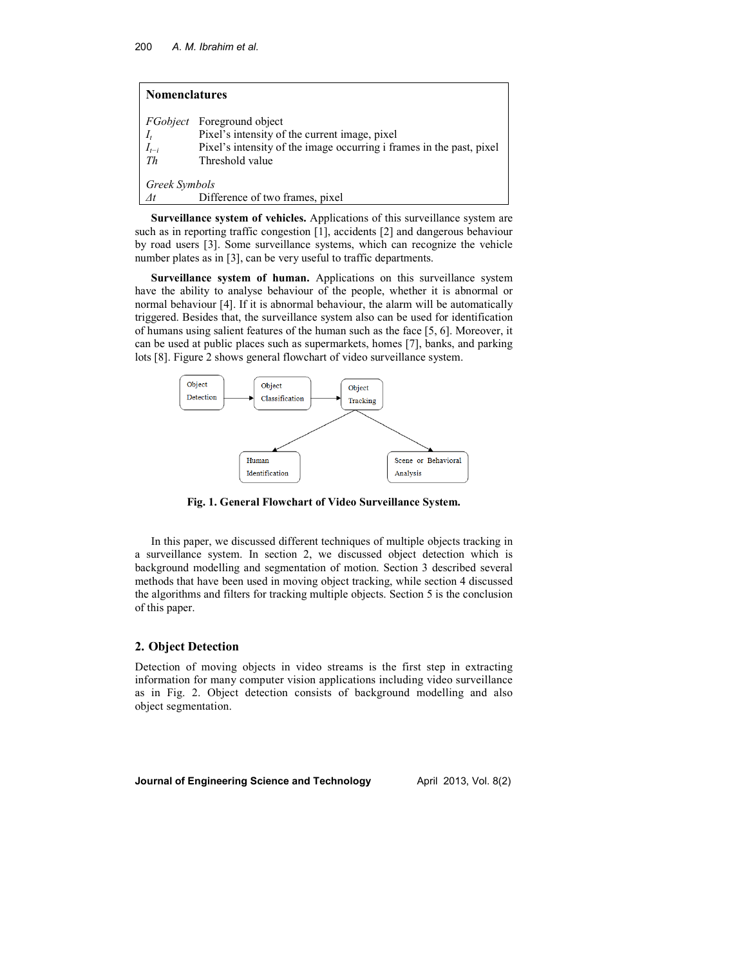| <b>Nomenclatures</b>     |                                                                                                                                                                               |  |  |  |  |
|--------------------------|-------------------------------------------------------------------------------------------------------------------------------------------------------------------------------|--|--|--|--|
| $I_t$<br>$I_{t-i}$<br>Th | <i>FGobject</i> Foreground object<br>Pixel's intensity of the current image, pixel<br>Pixel's intensity of the image occurring i frames in the past, pixel<br>Threshold value |  |  |  |  |
| Greek Symbols            |                                                                                                                                                                               |  |  |  |  |
| $\varDelta t$            | Difference of two frames, pixel                                                                                                                                               |  |  |  |  |

**Surveillance system of vehicles.** Applications of this surveillance system are such as in reporting traffic congestion [1], accidents [2] and dangerous behaviour by road users [3]. Some surveillance systems, which can recognize the vehicle number plates as in [3], can be very useful to traffic departments.

**Surveillance system of human.** Applications on this surveillance system have the ability to analyse behaviour of the people, whether it is abnormal or normal behaviour [4]. If it is abnormal behaviour, the alarm will be automatically triggered. Besides that, the surveillance system also can be used for identification of humans using salient features of the human such as the face [5, 6]. Moreover, it can be used at public places such as supermarkets, homes [7], banks, and parking lots [8]. Figure 2 shows general flowchart of video surveillance system.



**Fig. 1. General Flowchart of Video Surveillance System.**

In this paper, we discussed different techniques of multiple objects tracking in a surveillance system. In section 2, we discussed object detection which is background modelling and segmentation of motion. Section 3 described several methods that have been used in moving object tracking, while section 4 discussed the algorithms and filters for tracking multiple objects. Section 5 is the conclusion of this paper.

# **2. Object Detection**

Detection of moving objects in video streams is the first step in extracting information for many computer vision applications including video surveillance as in Fig. 2. Object detection consists of background modelling and also object segmentation.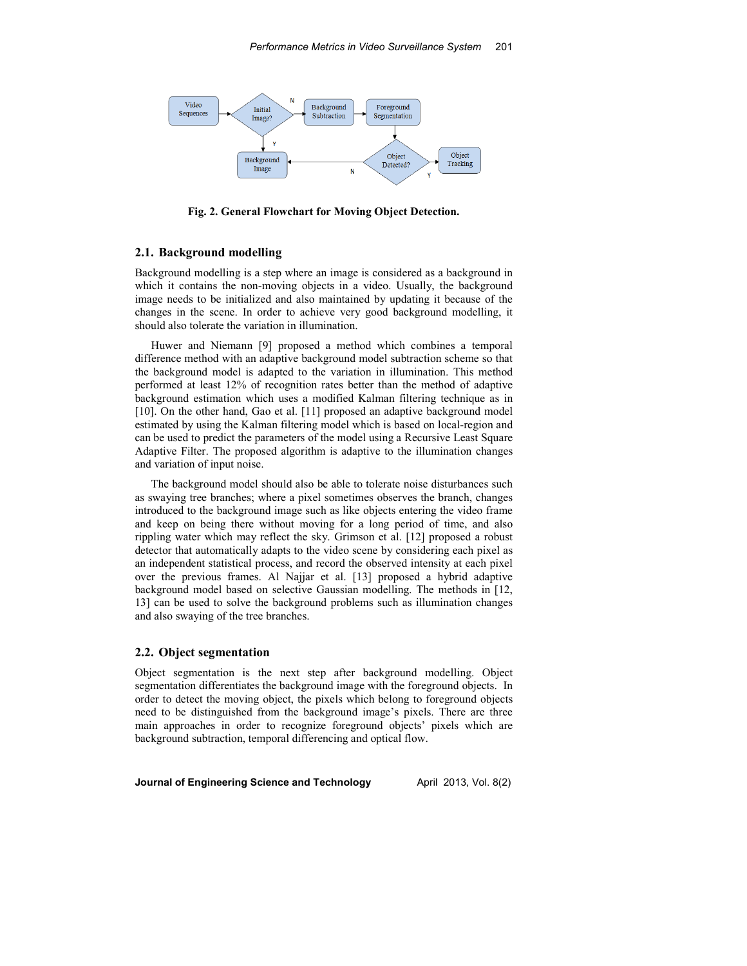

**Fig. 2. General Flowchart for Moving Object Detection.** 

# **2.1. Background modelling**

Background modelling is a step where an image is considered as a background in which it contains the non-moving objects in a video. Usually, the background image needs to be initialized and also maintained by updating it because of the changes in the scene. In order to achieve very good background modelling, it should also tolerate the variation in illumination.

Huwer and Niemann [9] proposed a method which combines a temporal difference method with an adaptive background model subtraction scheme so that the background model is adapted to the variation in illumination. This method performed at least 12% of recognition rates better than the method of adaptive background estimation which uses a modified Kalman filtering technique as in [10]. On the other hand, Gao et al. [11] proposed an adaptive background model estimated by using the Kalman filtering model which is based on local-region and can be used to predict the parameters of the model using a Recursive Least Square Adaptive Filter. The proposed algorithm is adaptive to the illumination changes and variation of input noise.

The background model should also be able to tolerate noise disturbances such as swaying tree branches; where a pixel sometimes observes the branch, changes introduced to the background image such as like objects entering the video frame and keep on being there without moving for a long period of time, and also rippling water which may reflect the sky. Grimson et al. [12] proposed a robust detector that automatically adapts to the video scene by considering each pixel as an independent statistical process, and record the observed intensity at each pixel over the previous frames. Al Najjar et al. [13] proposed a hybrid adaptive background model based on selective Gaussian modelling. The methods in [12, 13] can be used to solve the background problems such as illumination changes and also swaying of the tree branches.

### **2.2. Object segmentation**

Object segmentation is the next step after background modelling. Object segmentation differentiates the background image with the foreground objects. In order to detect the moving object, the pixels which belong to foreground objects need to be distinguished from the background image's pixels. There are three main approaches in order to recognize foreground objects' pixels which are background subtraction, temporal differencing and optical flow.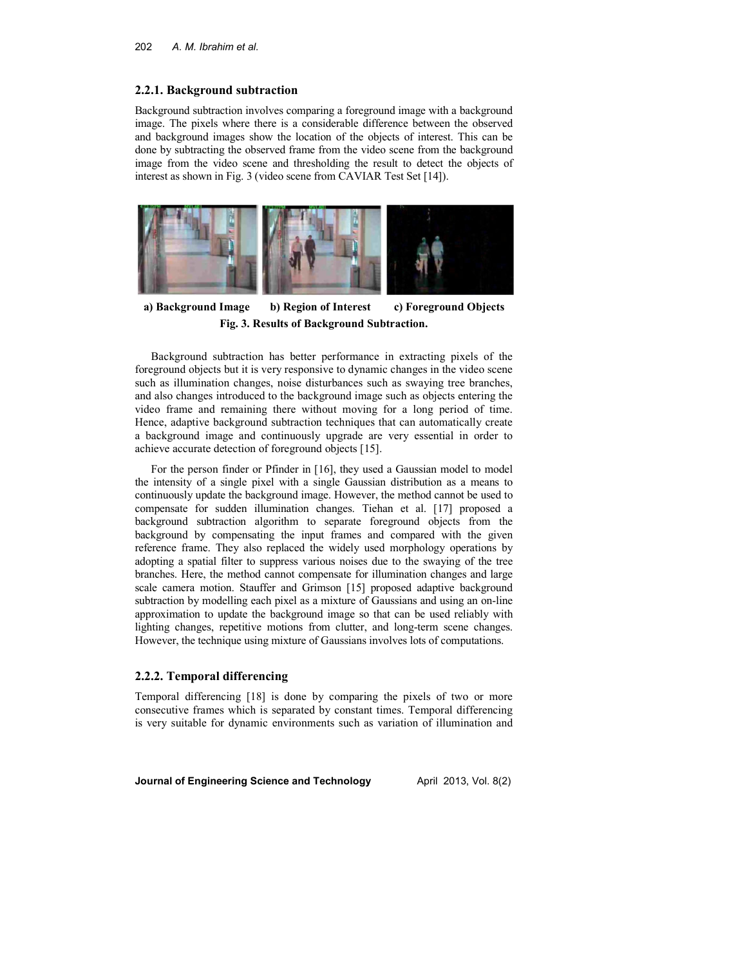## **2.2.1. Background subtraction**

Background subtraction involves comparing a foreground image with a background image. The pixels where there is a considerable difference between the observed and background images show the location of the objects of interest. This can be done by subtracting the observed frame from the video scene from the background image from the video scene and thresholding the result to detect the objects of interest as shown in Fig. 3 (video scene from CAVIAR Test Set [14]).



 **a) Background Image b) Region of Interest c) Foreground Objects Fig. 3. Results of Background Subtraction.**

Background subtraction has better performance in extracting pixels of the foreground objects but it is very responsive to dynamic changes in the video scene such as illumination changes, noise disturbances such as swaying tree branches, and also changes introduced to the background image such as objects entering the video frame and remaining there without moving for a long period of time. Hence, adaptive background subtraction techniques that can automatically create a background image and continuously upgrade are very essential in order to achieve accurate detection of foreground objects [15].

For the person finder or Pfinder in [16], they used a Gaussian model to model the intensity of a single pixel with a single Gaussian distribution as a means to continuously update the background image. However, the method cannot be used to compensate for sudden illumination changes. Tiehan et al. [17] proposed a background subtraction algorithm to separate foreground objects from the background by compensating the input frames and compared with the given reference frame. They also replaced the widely used morphology operations by adopting a spatial filter to suppress various noises due to the swaying of the tree branches. Here, the method cannot compensate for illumination changes and large scale camera motion. Stauffer and Grimson [15] proposed adaptive background subtraction by modelling each pixel as a mixture of Gaussians and using an on-line approximation to update the background image so that can be used reliably with lighting changes, repetitive motions from clutter, and long-term scene changes. However, the technique using mixture of Gaussians involves lots of computations.

# **2.2.2. Temporal differencing**

Temporal differencing [18] is done by comparing the pixels of two or more consecutive frames which is separated by constant times. Temporal differencing is very suitable for dynamic environments such as variation of illumination and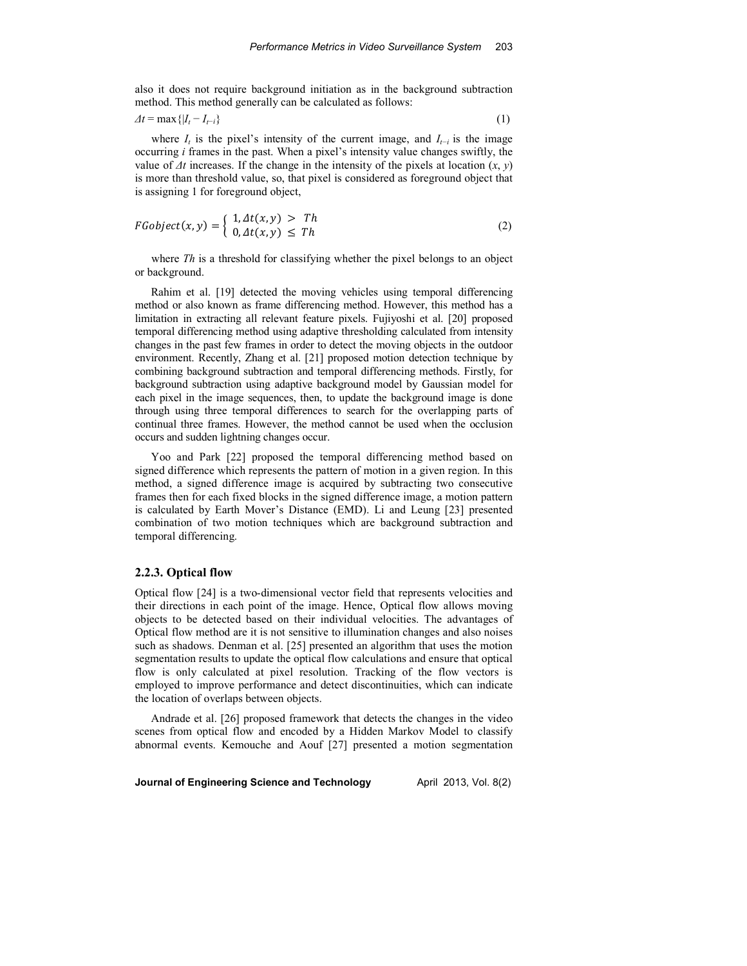also it does not require background initiation as in the background subtraction method. This method generally can be calculated as follows:

$$
\Delta t = \max\{|I_t - I_{t-i}\}\tag{1}
$$

where *I<sup>t</sup>* is the pixel's intensity of the current image, and *It−i* is the image occurring *i* frames in the past. When a pixel's intensity value changes swiftly, the value of *∆t* increases. If the change in the intensity of the pixels at location (*x*, *y*) is more than threshold value, so, that pixel is considered as foreground object that is assigning 1 for foreground object,

$$
FGobject(x, y) = \begin{cases} 1, \Delta t(x, y) > Th \\ 0, \Delta t(x, y) \leq Th \end{cases} \tag{2}
$$

where *Th* is a threshold for classifying whether the pixel belongs to an object or background.

Rahim et al. [19] detected the moving vehicles using temporal differencing method or also known as frame differencing method. However, this method has a limitation in extracting all relevant feature pixels. Fujiyoshi et al. [20] proposed temporal differencing method using adaptive thresholding calculated from intensity changes in the past few frames in order to detect the moving objects in the outdoor environment. Recently, Zhang et al. [21] proposed motion detection technique by combining background subtraction and temporal differencing methods. Firstly, for background subtraction using adaptive background model by Gaussian model for each pixel in the image sequences, then, to update the background image is done through using three temporal differences to search for the overlapping parts of continual three frames. However, the method cannot be used when the occlusion occurs and sudden lightning changes occur.

Yoo and Park [22] proposed the temporal differencing method based on signed difference which represents the pattern of motion in a given region. In this method, a signed difference image is acquired by subtracting two consecutive frames then for each fixed blocks in the signed difference image, a motion pattern is calculated by Earth Mover's Distance (EMD). Li and Leung [23] presented combination of two motion techniques which are background subtraction and temporal differencing.

#### **2.2.3. Optical flow**

Optical flow [24] is a two-dimensional vector field that represents velocities and their directions in each point of the image. Hence, Optical flow allows moving objects to be detected based on their individual velocities. The advantages of Optical flow method are it is not sensitive to illumination changes and also noises such as shadows. Denman et al. [25] presented an algorithm that uses the motion segmentation results to update the optical flow calculations and ensure that optical flow is only calculated at pixel resolution. Tracking of the flow vectors is employed to improve performance and detect discontinuities, which can indicate the location of overlaps between objects.

Andrade et al. [26] proposed framework that detects the changes in the video scenes from optical flow and encoded by a Hidden Markov Model to classify abnormal events. Kemouche and Aouf [27] presented a motion segmentation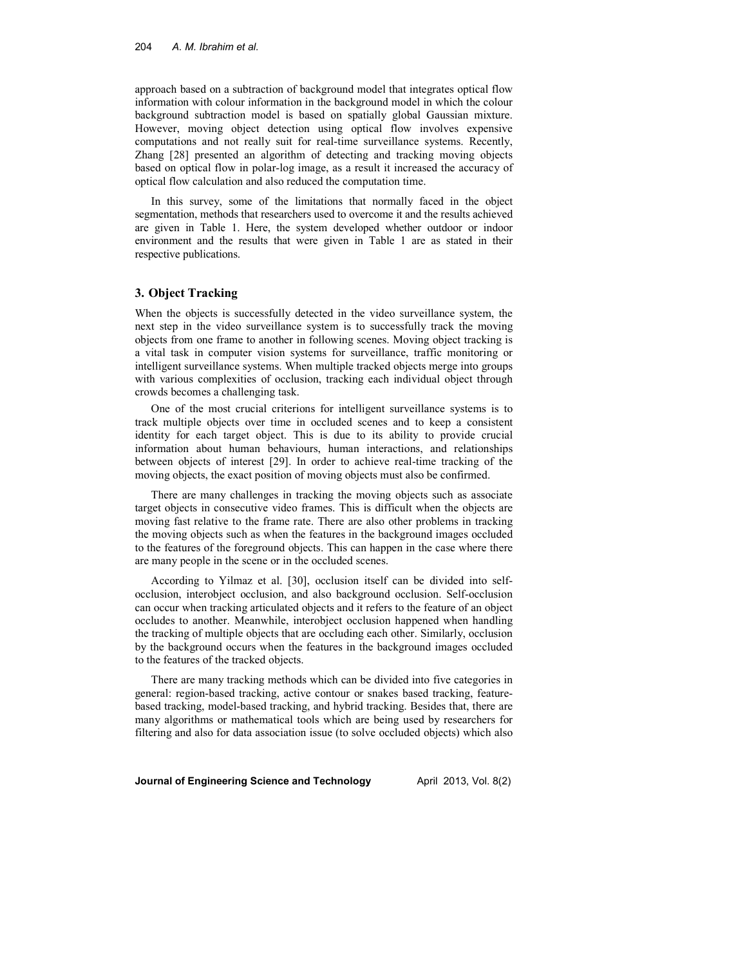#### 204 *A. M. Ibrahim et al.*

approach based on a subtraction of background model that integrates optical flow information with colour information in the background model in which the colour background subtraction model is based on spatially global Gaussian mixture. However, moving object detection using optical flow involves expensive computations and not really suit for real-time surveillance systems. Recently, Zhang [28] presented an algorithm of detecting and tracking moving objects based on optical flow in polar-log image, as a result it increased the accuracy of optical flow calculation and also reduced the computation time.

In this survey, some of the limitations that normally faced in the object segmentation, methods that researchers used to overcome it and the results achieved are given in Table 1. Here, the system developed whether outdoor or indoor environment and the results that were given in Table 1 are as stated in their respective publications.

## **3. Object Tracking**

When the objects is successfully detected in the video surveillance system, the next step in the video surveillance system is to successfully track the moving objects from one frame to another in following scenes. Moving object tracking is a vital task in computer vision systems for surveillance, traffic monitoring or intelligent surveillance systems. When multiple tracked objects merge into groups with various complexities of occlusion, tracking each individual object through crowds becomes a challenging task.

One of the most crucial criterions for intelligent surveillance systems is to track multiple objects over time in occluded scenes and to keep a consistent identity for each target object. This is due to its ability to provide crucial information about human behaviours, human interactions, and relationships between objects of interest [29]. In order to achieve real-time tracking of the moving objects, the exact position of moving objects must also be confirmed.

There are many challenges in tracking the moving objects such as associate target objects in consecutive video frames. This is difficult when the objects are moving fast relative to the frame rate. There are also other problems in tracking the moving objects such as when the features in the background images occluded to the features of the foreground objects. This can happen in the case where there are many people in the scene or in the occluded scenes.

According to Yilmaz et al. [30], occlusion itself can be divided into selfocclusion, interobject occlusion, and also background occlusion. Self-occlusion can occur when tracking articulated objects and it refers to the feature of an object occludes to another. Meanwhile, interobject occlusion happened when handling the tracking of multiple objects that are occluding each other. Similarly, occlusion by the background occurs when the features in the background images occluded to the features of the tracked objects.

There are many tracking methods which can be divided into five categories in general: region-based tracking, active contour or snakes based tracking, featurebased tracking, model-based tracking, and hybrid tracking. Besides that, there are many algorithms or mathematical tools which are being used by researchers for filtering and also for data association issue (to solve occluded objects) which also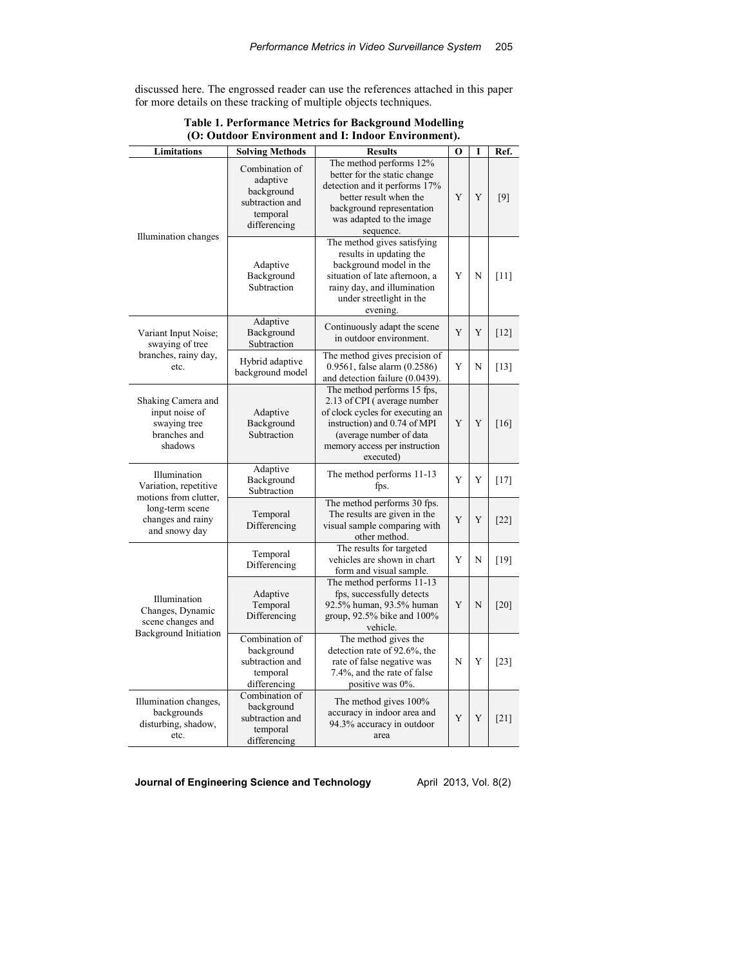discussed here. The engrossed reader can use the references attached in this paper for more details on these tracking of multiple objects techniques.

| <b>Limitations</b>                                                                    | <b>Solving Methods</b>                                                                           | <b>Results</b>                                                                                                                                                                                          | $\bf{O}$ | I | Ref.   |
|---------------------------------------------------------------------------------------|--------------------------------------------------------------------------------------------------|---------------------------------------------------------------------------------------------------------------------------------------------------------------------------------------------------------|----------|---|--------|
| Illumination changes                                                                  | Combination of<br>adaptive<br>background<br>subtraction and<br>temporal<br>differencing          | The method performs 12%<br>better for the static change<br>detection and it performs 17%<br>better result when the<br>background representation<br>was adapted to the image<br>sequence.                | Y        | Y | [9]    |
|                                                                                       | Adaptive<br>Background<br>Subtraction                                                            | The method gives satisfying<br>results in updating the<br>background model in the<br>situation of late afternoon, a<br>rainy day, and illumination<br>under streetlight in the<br>evening.              | Y        | N | [11]   |
| Variant Input Noise;<br>swaying of tree                                               | Adaptive<br>Continuously adapt the scene<br>Background<br>in outdoor environment.<br>Subtraction |                                                                                                                                                                                                         | Y        | Y | $[12]$ |
| branches, rainy day,<br>etc.                                                          | Hybrid adaptive<br>background model                                                              | The method gives precision of<br>0.9561, false alarm (0.2586)<br>and detection failure (0.0439).                                                                                                        | Y        | N | $[13]$ |
| Shaking Camera and<br>input noise of<br>swaying tree<br>branches and<br>shadows       | Adaptive<br>Background<br>Subtraction                                                            | The method performs 15 fps,<br>2.13 of CPI (average number<br>of clock cycles for executing an<br>instruction) and 0.74 of MPI<br>(average number of data<br>memory access per instruction<br>executed) | Y        | Y | [16]   |
| Illumination<br>Variation, repetitive<br>motions from clutter,                        | Adaptive<br>Background<br>Subtraction                                                            | The method performs 11-13<br>fps.                                                                                                                                                                       | Y        | Y | $[17]$ |
| long-term scene<br>changes and rainy<br>and snowy day                                 | Temporal<br>Differencing                                                                         | The method performs 30 fps.<br>The results are given in the<br>visual sample comparing with<br>other method.                                                                                            | Y        | Y | [22]   |
|                                                                                       | Temporal<br>Differencing                                                                         | The results for targeted<br>vehicles are shown in chart<br>form and visual sample.                                                                                                                      | Y        | N | [19]   |
| Illumination<br>Changes, Dynamic<br>scene changes and<br><b>Background</b> Initiation | Adaptive<br>Temporal<br>Differencing                                                             | The method performs 11-13<br>fps, successfully detects<br>92.5% human, 93.5% human<br>group, $92.5\%$ bike and $100\%$<br>vehicle.                                                                      | Y        | N | [20]   |
|                                                                                       | Combination of<br>background<br>subtraction and<br>temporal<br>differencing                      | The method gives the<br>detection rate of 92.6%, the<br>rate of false negative was<br>7.4%, and the rate of false<br>positive was 0%.                                                                   | N        | Y | $[23]$ |
| Illumination changes,<br>backgrounds<br>disturbing, shadow,<br>etc.                   | Combination of<br>background<br>subtraction and<br>temporal<br>differencing                      | The method gives 100%<br>accuracy in indoor area and<br>94.3% accuracy in outdoor<br>area                                                                                                               | Y        | Y | [21]   |

**Table 1. Performance Metrics for Background Modelling (O: Outdoor Environment and I: Indoor Environment).**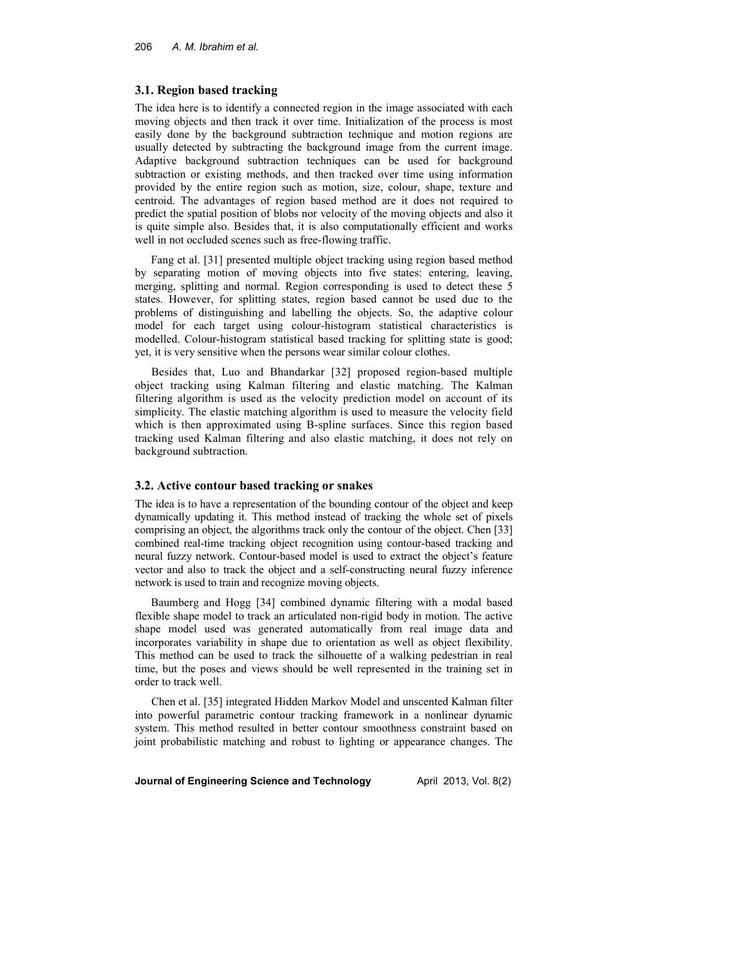# **3.1. Region based tracking**

The idea here is to identify a connected region in the image associated with each moving objects and then track it over time. Initialization of the process is most easily done by the background subtraction technique and motion regions are usually detected by subtracting the background image from the current image. Adaptive background subtraction techniques can be used for background subtraction or existing methods, and then tracked over time using information provided by the entire region such as motion, size, colour, shape, texture and centroid. The advantages of region based method are it does not required to predict the spatial position of blobs nor velocity of the moving objects and also it is quite simple also. Besides that, it is also computationally efficient and works well in not occluded scenes such as free-flowing traffic.

Fang et al. [31] presented multiple object tracking using region based method by separating motion of moving objects into five states: entering, leaving, merging, splitting and normal. Region corresponding is used to detect these 5 states. However, for splitting states, region based cannot be used due to the problems of distinguishing and labelling the objects. So, the adaptive colour model for each target using colour-histogram statistical characteristics is modelled. Colour-histogram statistical based tracking for splitting state is good; yet, it is very sensitive when the persons wear similar colour clothes.

Besides that, Luo and Bhandarkar [32] proposed region-based multiple object tracking using Kalman filtering and elastic matching. The Kalman filtering algorithm is used as the velocity prediction model on account of its simplicity. The elastic matching algorithm is used to measure the velocity field which is then approximated using B-spline surfaces. Since this region based tracking used Kalman filtering and also elastic matching, it does not rely on background subtraction.

#### **3.2. Active contour based tracking or snakes**

The idea is to have a representation of the bounding contour of the object and keep dynamically updating it. This method instead of tracking the whole set of pixels comprising an object, the algorithms track only the contour of the object. Chen [33] combined real-time tracking object recognition using contour-based tracking and neural fuzzy network. Contour-based model is used to extract the object's feature vector and also to track the object and a self-constructing neural fuzzy inference network is used to train and recognize moving objects.

Baumberg and Hogg [34] combined dynamic filtering with a modal based flexible shape model to track an articulated non-rigid body in motion. The active shape model used was generated automatically from real image data and incorporates variability in shape due to orientation as well as object flexibility. This method can be used to track the silhouette of a walking pedestrian in real time, but the poses and views should be well represented in the training set in order to track well.

Chen et al. [35] integrated Hidden Markov Model and unscented Kalman filter into powerful parametric contour tracking framework in a nonlinear dynamic system. This method resulted in better contour smoothness constraint based on joint probabilistic matching and robust to lighting or appearance changes. The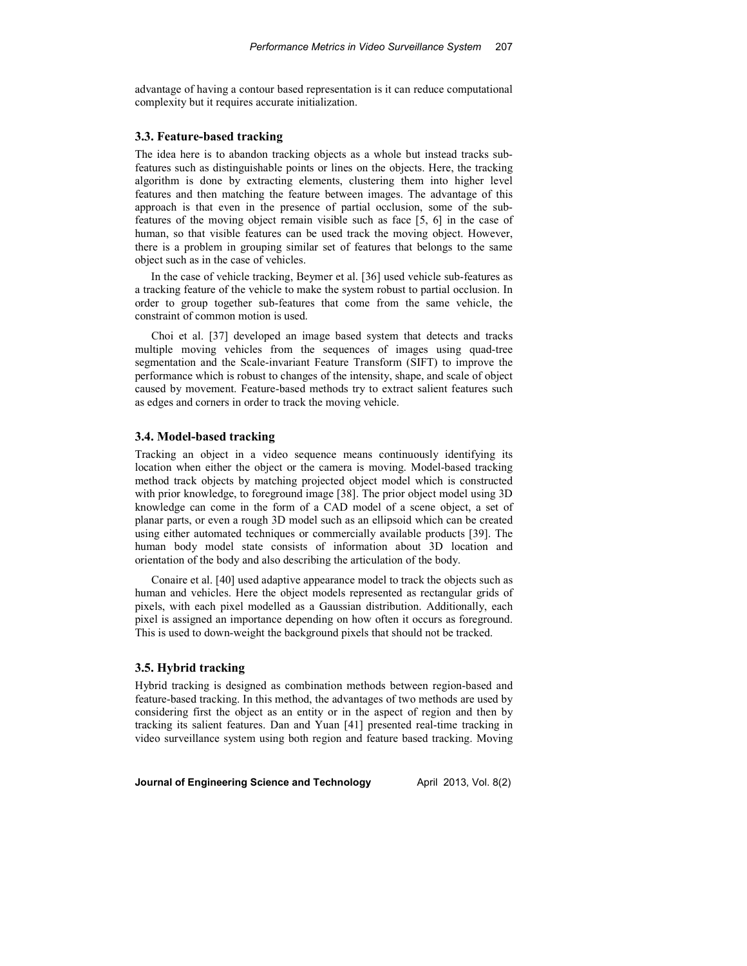advantage of having a contour based representation is it can reduce computational complexity but it requires accurate initialization.

# **3.3. Feature-based tracking**

The idea here is to abandon tracking objects as a whole but instead tracks subfeatures such as distinguishable points or lines on the objects. Here, the tracking algorithm is done by extracting elements, clustering them into higher level features and then matching the feature between images. The advantage of this approach is that even in the presence of partial occlusion, some of the subfeatures of the moving object remain visible such as face [5, 6] in the case of human, so that visible features can be used track the moving object. However, there is a problem in grouping similar set of features that belongs to the same object such as in the case of vehicles.

In the case of vehicle tracking, Beymer et al. [36] used vehicle sub-features as a tracking feature of the vehicle to make the system robust to partial occlusion. In order to group together sub-features that come from the same vehicle, the constraint of common motion is used.

Choi et al. [37] developed an image based system that detects and tracks multiple moving vehicles from the sequences of images using quad-tree segmentation and the Scale-invariant Feature Transform (SIFT) to improve the performance which is robust to changes of the intensity, shape, and scale of object caused by movement. Feature-based methods try to extract salient features such as edges and corners in order to track the moving vehicle.

## **3.4. Model-based tracking**

Tracking an object in a video sequence means continuously identifying its location when either the object or the camera is moving. Model-based tracking method track objects by matching projected object model which is constructed with prior knowledge, to foreground image [38]. The prior object model using 3D knowledge can come in the form of a CAD model of a scene object, a set of planar parts, or even a rough 3D model such as an ellipsoid which can be created using either automated techniques or commercially available products [39]. The human body model state consists of information about 3D location and orientation of the body and also describing the articulation of the body.

Conaire et al. [40] used adaptive appearance model to track the objects such as human and vehicles. Here the object models represented as rectangular grids of pixels, with each pixel modelled as a Gaussian distribution. Additionally, each pixel is assigned an importance depending on how often it occurs as foreground. This is used to down-weight the background pixels that should not be tracked.

# **3.5. Hybrid tracking**

Hybrid tracking is designed as combination methods between region-based and feature-based tracking. In this method, the advantages of two methods are used by considering first the object as an entity or in the aspect of region and then by tracking its salient features. Dan and Yuan [41] presented real-time tracking in video surveillance system using both region and feature based tracking. Moving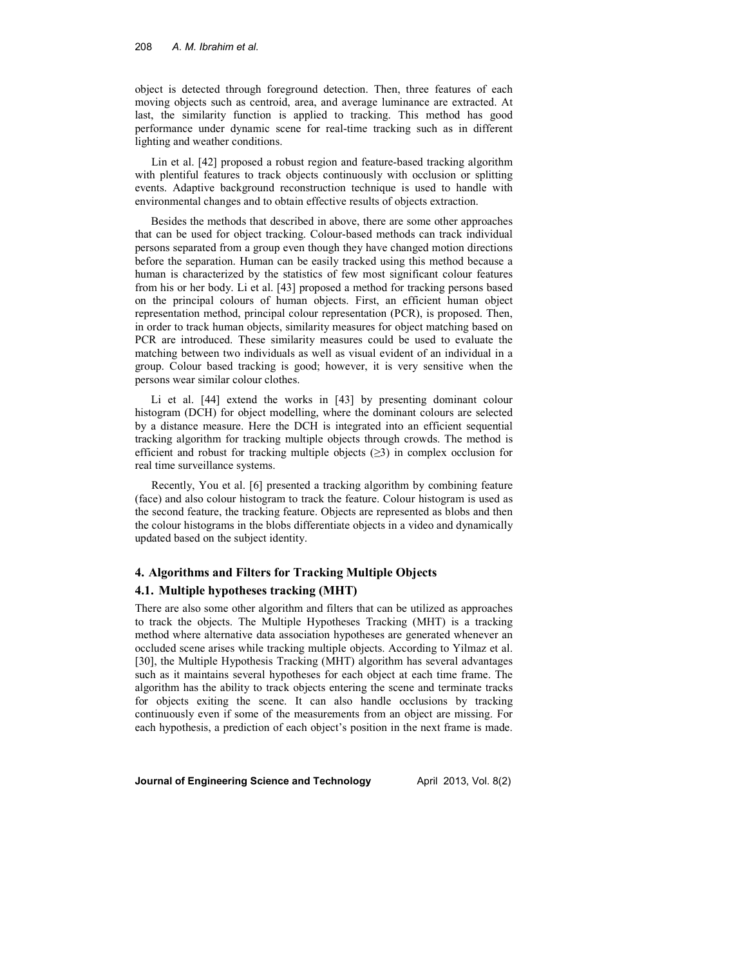#### 208 *A. M. Ibrahim et al.*

object is detected through foreground detection. Then, three features of each moving objects such as centroid, area, and average luminance are extracted. At last, the similarity function is applied to tracking. This method has good performance under dynamic scene for real-time tracking such as in different lighting and weather conditions.

Lin et al. [42] proposed a robust region and feature-based tracking algorithm with plentiful features to track objects continuously with occlusion or splitting events. Adaptive background reconstruction technique is used to handle with environmental changes and to obtain effective results of objects extraction.

Besides the methods that described in above, there are some other approaches that can be used for object tracking. Colour-based methods can track individual persons separated from a group even though they have changed motion directions before the separation. Human can be easily tracked using this method because a human is characterized by the statistics of few most significant colour features from his or her body. Li et al. [43] proposed a method for tracking persons based on the principal colours of human objects. First, an efficient human object representation method, principal colour representation (PCR), is proposed. Then, in order to track human objects, similarity measures for object matching based on PCR are introduced. These similarity measures could be used to evaluate the matching between two individuals as well as visual evident of an individual in a group. Colour based tracking is good; however, it is very sensitive when the persons wear similar colour clothes.

Li et al. [44] extend the works in [43] by presenting dominant colour histogram (DCH) for object modelling, where the dominant colours are selected by a distance measure. Here the DCH is integrated into an efficient sequential tracking algorithm for tracking multiple objects through crowds. The method is efficient and robust for tracking multiple objects (*≥*3) in complex occlusion for real time surveillance systems.

Recently, You et al. [6] presented a tracking algorithm by combining feature (face) and also colour histogram to track the feature. Colour histogram is used as the second feature, the tracking feature. Objects are represented as blobs and then the colour histograms in the blobs differentiate objects in a video and dynamically updated based on the subject identity.

# **4. Algorithms and Filters for Tracking Multiple Objects 4.1. Multiple hypotheses tracking (MHT)**

There are also some other algorithm and filters that can be utilized as approaches to track the objects. The Multiple Hypotheses Tracking (MHT) is a tracking method where alternative data association hypotheses are generated whenever an occluded scene arises while tracking multiple objects. According to Yilmaz et al. [30], the Multiple Hypothesis Tracking (MHT) algorithm has several advantages such as it maintains several hypotheses for each object at each time frame. The algorithm has the ability to track objects entering the scene and terminate tracks for objects exiting the scene. It can also handle occlusions by tracking continuously even if some of the measurements from an object are missing. For each hypothesis, a prediction of each object's position in the next frame is made.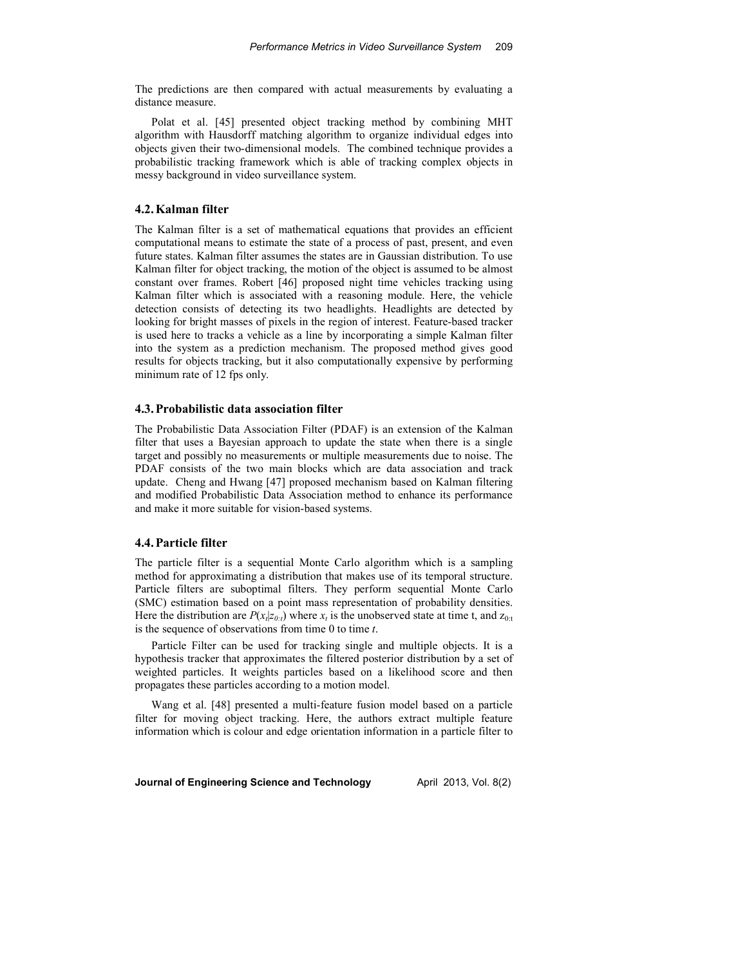The predictions are then compared with actual measurements by evaluating a distance measure.

Polat et al. [45] presented object tracking method by combining MHT algorithm with Hausdorff matching algorithm to organize individual edges into objects given their two-dimensional models. The combined technique provides a probabilistic tracking framework which is able of tracking complex objects in messy background in video surveillance system.

## **4.2.Kalman filter**

The Kalman filter is a set of mathematical equations that provides an efficient computational means to estimate the state of a process of past, present, and even future states. Kalman filter assumes the states are in Gaussian distribution. To use Kalman filter for object tracking, the motion of the object is assumed to be almost constant over frames. Robert [46] proposed night time vehicles tracking using Kalman filter which is associated with a reasoning module. Here, the vehicle detection consists of detecting its two headlights. Headlights are detected by looking for bright masses of pixels in the region of interest. Feature-based tracker is used here to tracks a vehicle as a line by incorporating a simple Kalman filter into the system as a prediction mechanism. The proposed method gives good results for objects tracking, but it also computationally expensive by performing minimum rate of 12 fps only.

# **4.3.Probabilistic data association filter**

The Probabilistic Data Association Filter (PDAF) is an extension of the Kalman filter that uses a Bayesian approach to update the state when there is a single target and possibly no measurements or multiple measurements due to noise. The PDAF consists of the two main blocks which are data association and track update. Cheng and Hwang [47] proposed mechanism based on Kalman filtering and modified Probabilistic Data Association method to enhance its performance and make it more suitable for vision-based systems.

#### **4.4.Particle filter**

The particle filter is a sequential Monte Carlo algorithm which is a sampling method for approximating a distribution that makes use of its temporal structure. Particle filters are suboptimal filters. They perform sequential Monte Carlo (SMC) estimation based on a point mass representation of probability densities. Here the distribution are  $P(x_t|z_{0:t})$  where  $x_t$  is the unobserved state at time t, and  $z_{0:t}$ is the sequence of observations from time 0 to time *t*.

Particle Filter can be used for tracking single and multiple objects. It is a hypothesis tracker that approximates the filtered posterior distribution by a set of weighted particles. It weights particles based on a likelihood score and then propagates these particles according to a motion model.

Wang et al. [48] presented a multi-feature fusion model based on a particle filter for moving object tracking. Here, the authors extract multiple feature information which is colour and edge orientation information in a particle filter to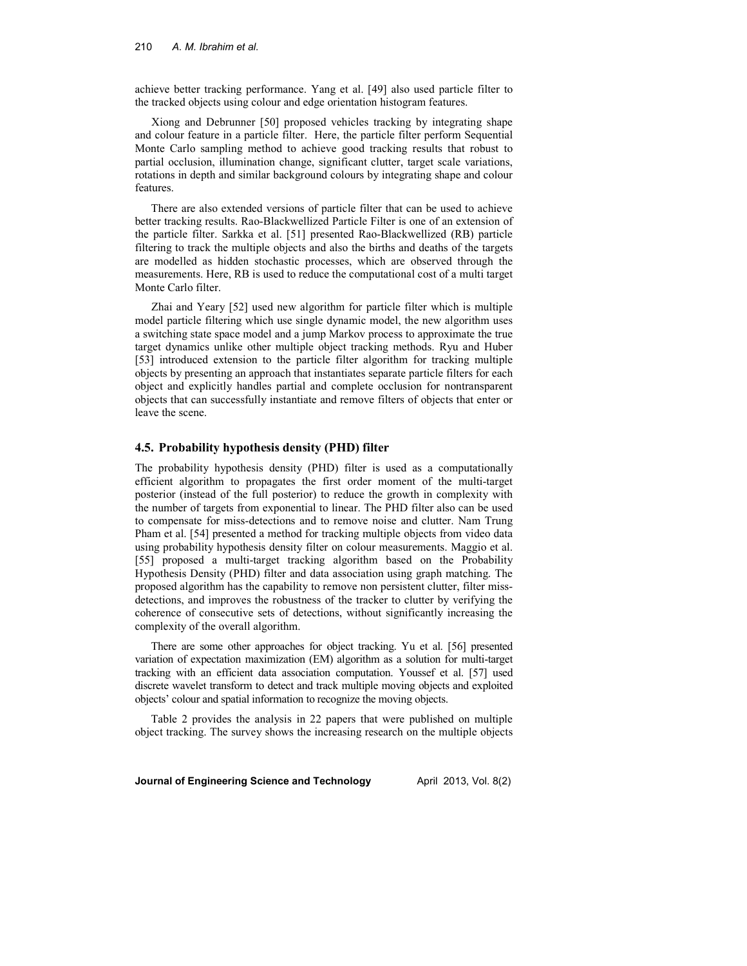achieve better tracking performance. Yang et al. [49] also used particle filter to the tracked objects using colour and edge orientation histogram features.

Xiong and Debrunner [50] proposed vehicles tracking by integrating shape and colour feature in a particle filter. Here, the particle filter perform Sequential Monte Carlo sampling method to achieve good tracking results that robust to partial occlusion, illumination change, significant clutter, target scale variations, rotations in depth and similar background colours by integrating shape and colour features.

There are also extended versions of particle filter that can be used to achieve better tracking results. Rao-Blackwellized Particle Filter is one of an extension of the particle filter. Sarkka et al. [51] presented Rao-Blackwellized (RB) particle filtering to track the multiple objects and also the births and deaths of the targets are modelled as hidden stochastic processes, which are observed through the measurements. Here, RB is used to reduce the computational cost of a multi target Monte Carlo filter.

Zhai and Yeary [52] used new algorithm for particle filter which is multiple model particle filtering which use single dynamic model, the new algorithm uses a switching state space model and a jump Markov process to approximate the true target dynamics unlike other multiple object tracking methods. Ryu and Huber [53] introduced extension to the particle filter algorithm for tracking multiple objects by presenting an approach that instantiates separate particle filters for each object and explicitly handles partial and complete occlusion for nontransparent objects that can successfully instantiate and remove filters of objects that enter or leave the scene.

#### **4.5. Probability hypothesis density (PHD) filter**

The probability hypothesis density (PHD) filter is used as a computationally efficient algorithm to propagates the first order moment of the multi-target posterior (instead of the full posterior) to reduce the growth in complexity with the number of targets from exponential to linear. The PHD filter also can be used to compensate for miss-detections and to remove noise and clutter. Nam Trung Pham et al. [54] presented a method for tracking multiple objects from video data using probability hypothesis density filter on colour measurements. Maggio et al. [55] proposed a multi-target tracking algorithm based on the Probability Hypothesis Density (PHD) filter and data association using graph matching. The proposed algorithm has the capability to remove non persistent clutter, filter missdetections, and improves the robustness of the tracker to clutter by verifying the coherence of consecutive sets of detections, without significantly increasing the complexity of the overall algorithm.

There are some other approaches for object tracking. Yu et al. [56] presented variation of expectation maximization (EM) algorithm as a solution for multi-target tracking with an efficient data association computation. Youssef et al. [57] used discrete wavelet transform to detect and track multiple moving objects and exploited objects' colour and spatial information to recognize the moving objects.

Table 2 provides the analysis in 22 papers that were published on multiple object tracking. The survey shows the increasing research on the multiple objects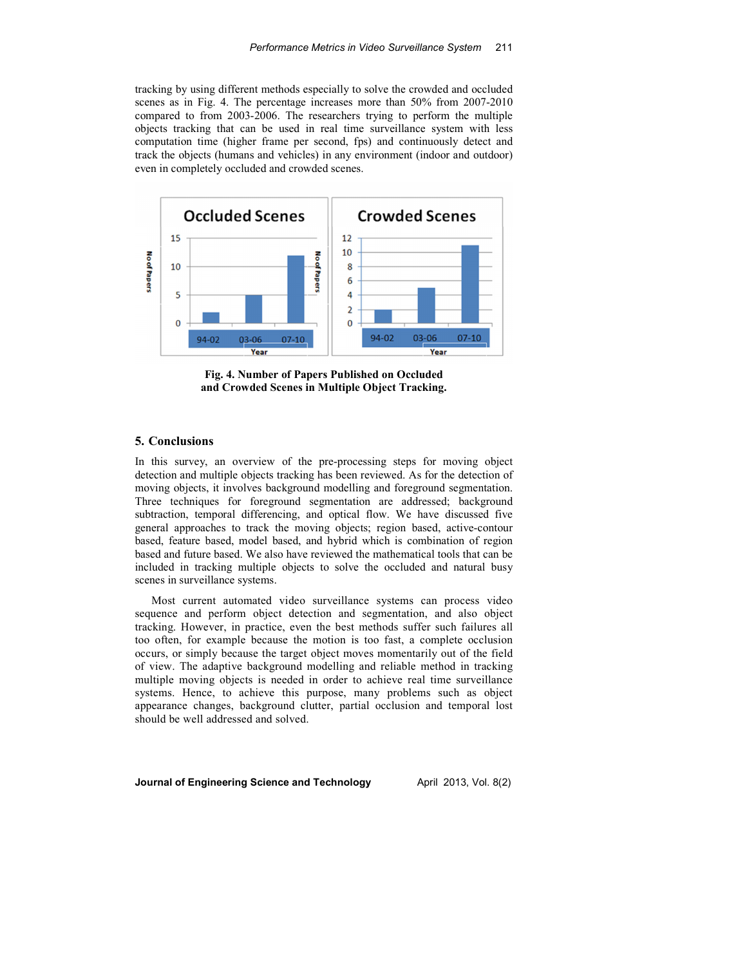tracking by using different methods especially to solve the crowded and occluded scenes as in Fig. 4. The percentage increases more than 50% from 2007-2010 compared to from 2003-2006. The researchers trying to perform the multiple objects tracking that can be used in real time surveillance system with less computation time (higher frame per second, fps) and continuously detect and track the objects (humans and vehicles) in any environment (indoor and outdoor) even in completely occluded and crowded scenes.



**Fig. 4. Number of Papers Published on Occluded and Crowded Scenes in Multiple Object Tracking.**

# **5. Conclusions**

In this survey, an overview of the pre-processing steps for moving object detection and multiple objects tracking has been reviewed. As for the detection of moving objects, it involves background modelling and foreground segmentation. Three techniques for foreground segmentation are addressed; background subtraction, temporal differencing, and optical flow. We have discussed five general approaches to track the moving objects; region based, active-contour based, feature based, model based, and hybrid which is combination of region based and future based. We also have reviewed the mathematical tools that can be included in tracking multiple objects to solve the occluded and natural busy scenes in surveillance systems.

Most current automated video surveillance systems can process video sequence and perform object detection and segmentation, and also object tracking. However, in practice, even the best methods suffer such failures all too often, for example because the motion is too fast, a complete occlusion occurs, or simply because the target object moves momentarily out of the field of view. The adaptive background modelling and reliable method in tracking multiple moving objects is needed in order to achieve real time surveillance systems. Hence, to achieve this purpose, many problems such as object appearance changes, background clutter, partial occlusion and temporal lost should be well addressed and solved.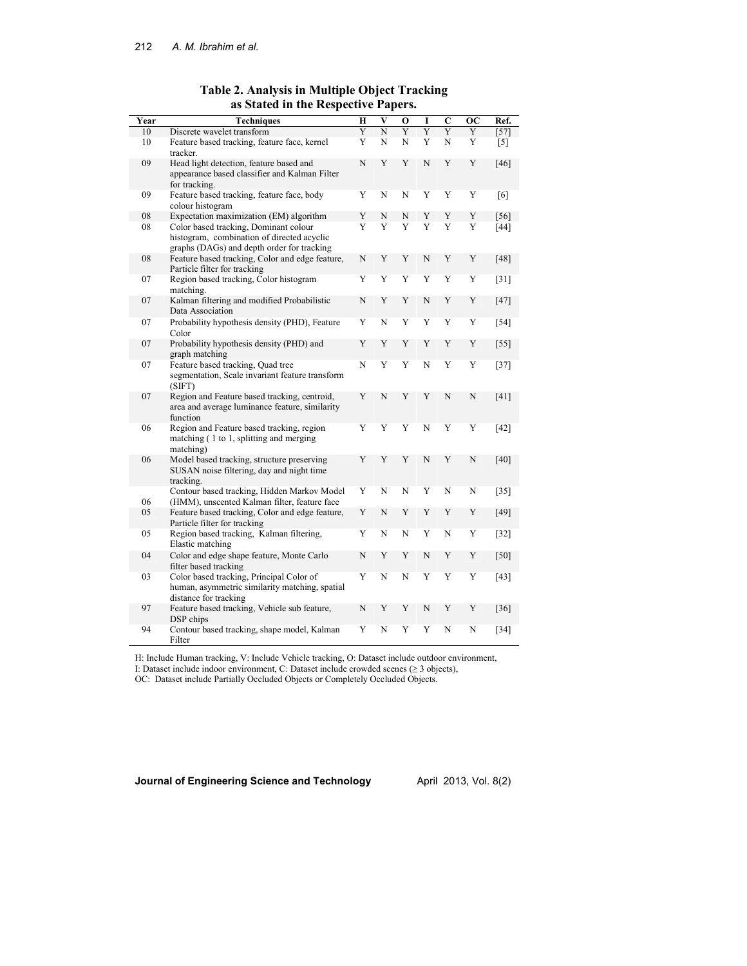| Year | <b>Techniques</b>                                                                                                                 | H | V | 0 | I | $\mathbf C$ | <b>OC</b> | Ref.               |
|------|-----------------------------------------------------------------------------------------------------------------------------------|---|---|---|---|-------------|-----------|--------------------|
| 10   | Discrete wavelet transform                                                                                                        | Y | N | Y | Ÿ | Y           | Y         | $[57]$             |
| 10   | Feature based tracking, feature face, kernel<br>tracker.                                                                          | Y | N | N | Y | N           | Y         | $[5]$              |
| 09   | Head light detection, feature based and<br>appearance based classifier and Kalman Filter<br>for tracking.                         | N | Y | Y | N | Y           | Y         | $[46]$             |
| 09   | Feature based tracking, feature face, body<br>colour histogram                                                                    | Y | N | N | Y | Y           | Y         | [6]                |
| 08   | Expectation maximization (EM) algorithm                                                                                           | Y | N | N | Y | Y           | Y         | $[56]$             |
| 08   | Color based tracking, Dominant colour<br>histogram, combination of directed acyclic<br>graphs (DAGs) and depth order for tracking | Y | Y | Y | Y | Y           | Y         | $[44]$             |
| 08   | Feature based tracking, Color and edge feature,<br>Particle filter for tracking                                                   | N | Y | Y | N | Y           | Y         | [48]               |
| 07   | Region based tracking, Color histogram<br>matching.                                                                               | Y | Y | Y | Y | Y           | Y         | $\lceil 31 \rceil$ |
| 07   | Kalman filtering and modified Probabilistic<br>Data Association                                                                   | N | Y | Y | N | Y           | Y         | $[47]$             |
| 07   | Probability hypothesis density (PHD), Feature<br>Color                                                                            | Y | N | Y | Y | Y           | Y         | $[54]$             |
| 07   | Probability hypothesis density (PHD) and<br>graph matching                                                                        | Y | Y | Y | Y | Y           | Y         | $[55]$             |
| 07   | Feature based tracking, Quad tree<br>segmentation, Scale invariant feature transform<br>(SIFT)                                    | N | Y | Y | N | Y           | Y         | $[37]$             |
| 07   | Region and Feature based tracking, centroid,<br>area and average luminance feature, similarity<br>function                        | Y | N | Y | Y | N           | N         | [41]               |
| 06   | Region and Feature based tracking, region<br>matching (1 to 1, splitting and merging<br>matching)                                 | Y | Y | Y | N | Y           | Y         | $[42]$             |
| 06   | Model based tracking, structure preserving<br>SUSAN noise filtering, day and night time<br>tracking.                              | Y | Y | Y | N | Y           | N         | [40]               |
| 06   | Contour based tracking, Hidden Markov Model<br>(HMM), unscented Kalman filter, feature face                                       | Y | N | N | Y | N           | N         | $[35]$             |
| 05   | Feature based tracking, Color and edge feature,<br>Particle filter for tracking                                                   | Y | N | Y | Y | Y           | Y         | [49]               |
| 05   | Region based tracking, Kalman filtering,<br>Elastic matching                                                                      | Y | N | N | Y | N           | Y         | $[32]$             |
| 04   | Color and edge shape feature, Monte Carlo<br>filter based tracking                                                                | N | Y | Y | N | Y           | Y         | $[50]$             |
| 03   | Color based tracking, Principal Color of<br>human, asymmetric similarity matching, spatial<br>distance for tracking               | Y | N | N | Y | Y           | Y         | $[43]$             |
| 97   | Feature based tracking, Vehicle sub feature,<br>DSP chips                                                                         | N | Y | Y | N | Y           | Y         | [36]               |
| 94   | Contour based tracking, shape model, Kalman<br>Filter                                                                             | Y | N | Y | Y | N           | N         | $[34]$             |

# **Table 2. Analysis in Multiple Object Tracking as Stated in the Respective Papers.**

H: Include Human tracking, V: Include Vehicle tracking, O: Dataset include outdoor environment,

I: Dataset include indoor environment, C: Dataset include crowded scenes (≥ 3 objects),

OC: Dataset include Partially Occluded Objects or Completely Occluded Objects.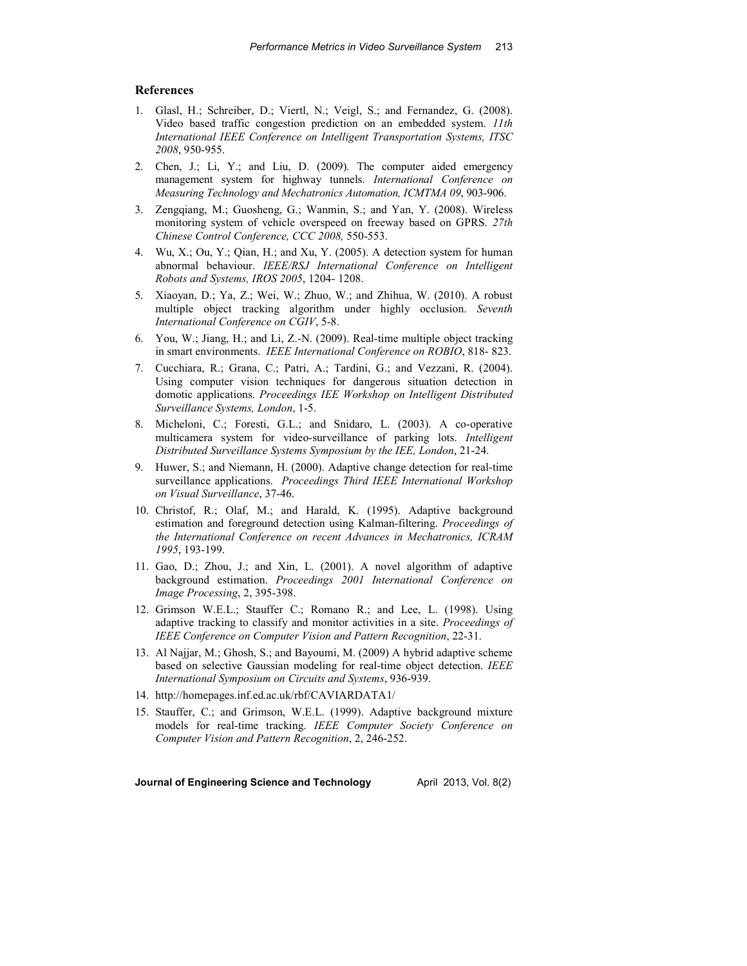# **References**

- 1. Glasl, H.; Schreiber, D.; Viertl, N.; Veigl, S.; and Fernandez, G. (2008). Video based traffic congestion prediction on an embedded system. *11th International IEEE Conference on Intelligent Transportation Systems, ITSC 2008*, 950-955.
- 2. Chen, J.; Li, Y.; and Liu, D. (2009). The computer aided emergency management system for highway tunnels. *International Conference on Measuring Technology and Mechatronics Automation, ICMTMA 09*, 903-906.
- 3. Zengqiang, M.; Guosheng, G.; Wanmin, S.; and Yan, Y. (2008). Wireless monitoring system of vehicle overspeed on freeway based on GPRS. *27th Chinese Control Conference, CCC 2008,* 550-553.
- 4. Wu, X.; Ou, Y.; Qian, H.; and Xu, Y. (2005). A detection system for human abnormal behaviour. *IEEE/RSJ International Conference on Intelligent Robots and Systems, IROS 2005*, 1204- 1208.
- 5. Xiaoyan, D.; Ya, Z.; Wei, W.; Zhuo, W.; and Zhihua, W. (2010). A robust multiple object tracking algorithm under highly occlusion. *Seventh International Conference on CGIV*, 5-8.
- 6. You, W.; Jiang, H.; and Li, Z.-N. (2009). Real-time multiple object tracking in smart environments. *IEEE International Conference on ROBIO*, 818- 823.
- 7. Cucchiara, R.; Grana, C.; Patri, A.; Tardini, G.; and Vezzani, R. (2004). Using computer vision techniques for dangerous situation detection in domotic applications. *Proceedings IEE Workshop on Intelligent Distributed Surveillance Systems, London*, 1-5.
- 8. Micheloni, C.; Foresti, G.L.; and Snidaro, L. (2003). A co-operative multicamera system for video-surveillance of parking lots. *Intelligent Distributed Surveillance Systems Symposium by the IEE, London*, 21-24.
- 9. Huwer, S.; and Niemann, H. (2000). Adaptive change detection for real-time surveillance applications. *Proceedings Third IEEE International Workshop on Visual Surveillance*, 37-46.
- 10. Christof, R.; Olaf, M.; and Harald, K. (1995). Adaptive background estimation and foreground detection using Kalman-filtering. *Proceedings of the International Conference on recent Advances in Mechatronics, ICRAM 1995*, 193-199.
- 11. Gao, D.; Zhou, J.; and Xin, L. (2001). A novel algorithm of adaptive background estimation. *Proceedings 2001 International Conference on Image Processing*, 2, 395-398.
- 12. Grimson W.E.L.; Stauffer C.; Romano R.; and Lee, L. (1998). Using adaptive tracking to classify and monitor activities in a site. *Proceedings of IEEE Conference on Computer Vision and Pattern Recognition*, 22-31.
- 13. Al Najjar, M.; Ghosh, S.; and Bayoumi, M. (2009) A hybrid adaptive scheme based on selective Gaussian modeling for real-time object detection. *IEEE International Symposium on Circuits and Systems*, 936-939.
- 14. http://homepages.inf.ed.ac.uk/rbf/CAVIARDATA1/
- 15. Stauffer, C.; and Grimson, W.E.L. (1999). Adaptive background mixture models for real-time tracking. *IEEE Computer Society Conference on Computer Vision and Pattern Recognition*, 2, 246-252.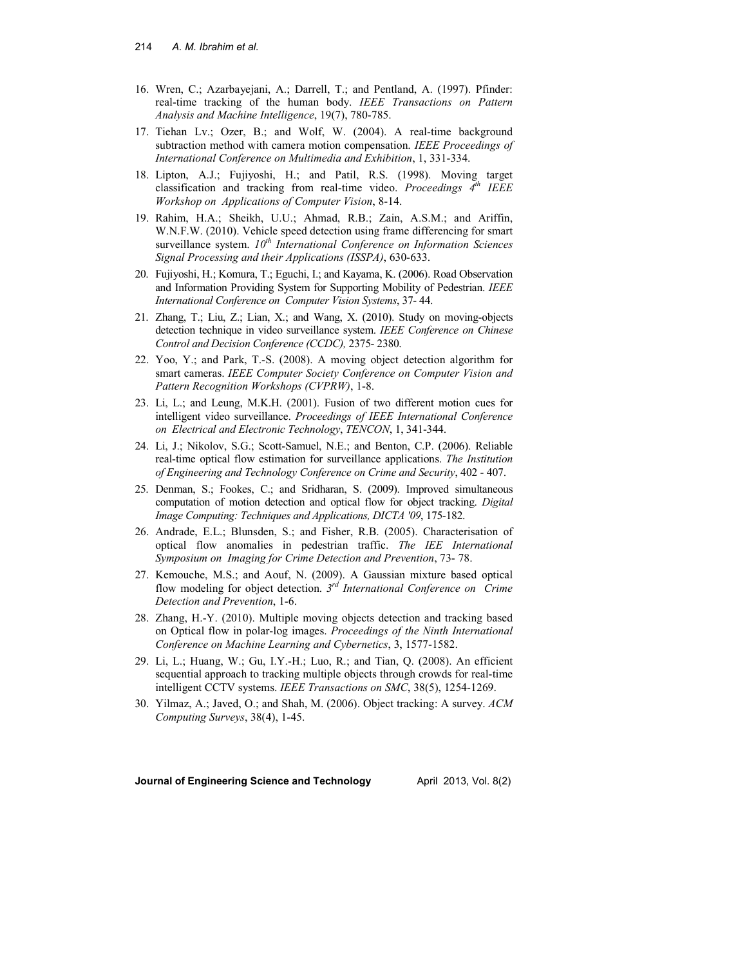- 16. Wren, C.; Azarbayejani, A.; Darrell, T.; and Pentland, A. (1997). Pfinder: real-time tracking of the human body. *IEEE Transactions on Pattern Analysis and Machine Intelligence*, 19(7), 780-785.
- 17. Tiehan Lv.; Ozer, B.; and Wolf, W. (2004). A real-time background subtraction method with camera motion compensation. *IEEE Proceedings of International Conference on Multimedia and Exhibition*, 1, 331-334.
- 18. Lipton, A.J.; Fujiyoshi, H.; and Patil, R.S. (1998). Moving target classification and tracking from real-time video. *Proceedings 4th IEEE Workshop on Applications of Computer Vision*, 8-14.
- 19. Rahim, H.A.; Sheikh, U.U.; Ahmad, R.B.; Zain, A.S.M.; and Ariffin, W.N.F.W. (2010). Vehicle speed detection using frame differencing for smart surveillance system.  $10^{th}$  *International Conference on Information Sciences Signal Processing and their Applications (ISSPA)*, 630-633.
- 20. Fujiyoshi, H.; Komura, T.; Eguchi, I.; and Kayama, K. (2006). Road Observation and Information Providing System for Supporting Mobility of Pedestrian. *IEEE International Conference on Computer Vision Systems*, 37- 44.
- 21. Zhang, T.; Liu, Z.; Lian, X.; and Wang, X. (2010). Study on moving-objects detection technique in video surveillance system. *IEEE Conference on Chinese Control and Decision Conference (CCDC),* 2375- 2380.
- 22. Yoo, Y.; and Park, T.-S. (2008). A moving object detection algorithm for smart cameras. *IEEE Computer Society Conference on Computer Vision and Pattern Recognition Workshops (CVPRW)*, 1-8.
- 23. Li, L.; and Leung, M.K.H. (2001). Fusion of two different motion cues for intelligent video surveillance. *Proceedings of IEEE International Conference on Electrical and Electronic Technology*, *TENCON*, 1, 341-344.
- 24. Li, J.; Nikolov, S.G.; Scott-Samuel, N.E.; and Benton, C.P. (2006). Reliable real-time optical flow estimation for surveillance applications. *The Institution of Engineering and Technology Conference on Crime and Security*, 402 - 407.
- 25. Denman, S.; Fookes, C.; and Sridharan, S. (2009). Improved simultaneous computation of motion detection and optical flow for object tracking. *Digital Image Computing: Techniques and Applications, DICTA '09*, 175-182.
- 26. Andrade, E.L.; Blunsden, S.; and Fisher, R.B. (2005). Characterisation of optical flow anomalies in pedestrian traffic. *The IEE International Symposium on Imaging for Crime Detection and Prevention*, 73- 78.
- 27. Kemouche, M.S.; and Aouf, N. (2009). A Gaussian mixture based optical flow modeling for object detection. *3rd International Conference on Crime Detection and Prevention*, 1-6.
- 28. Zhang, H.-Y. (2010). Multiple moving objects detection and tracking based on Optical flow in polar-log images. *Proceedings of the Ninth International Conference on Machine Learning and Cybernetics*, 3, 1577-1582.
- 29. Li, L.; Huang, W.; Gu, I.Y.-H.; Luo, R.; and Tian, Q. (2008). An efficient sequential approach to tracking multiple objects through crowds for real-time intelligent CCTV systems. *IEEE Transactions on SMC*, 38(5), 1254-1269.
- 30. Yilmaz, A.; Javed, O.; and Shah, M. (2006). Object tracking: A survey. *ACM Computing Surveys*, 38(4), 1-45.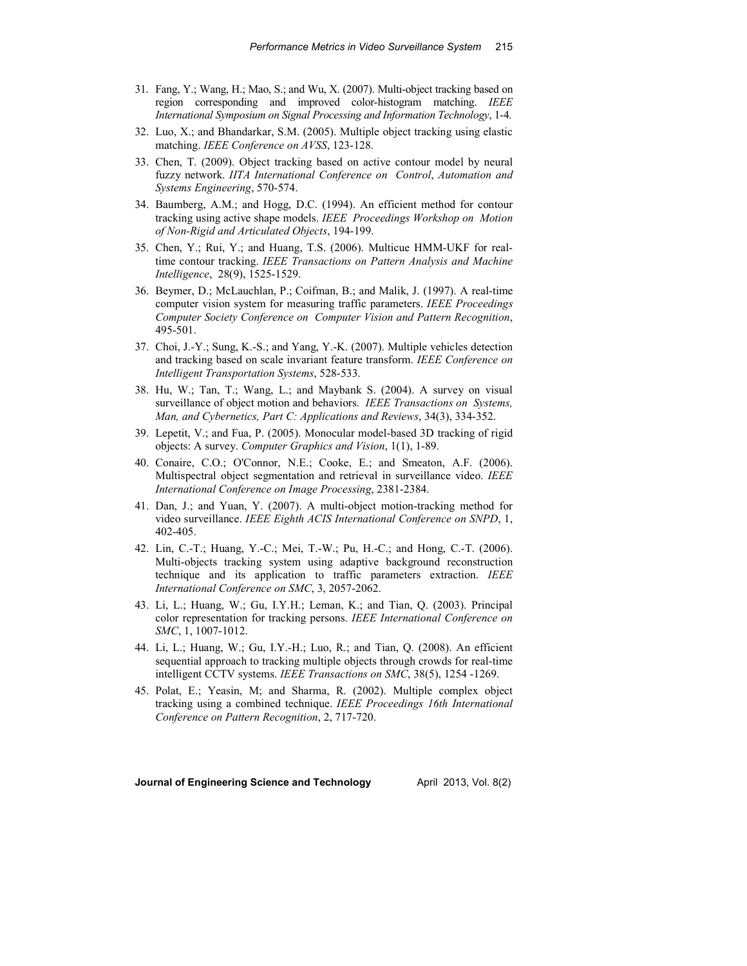- 31. Fang, Y.; Wang, H.; Mao, S.; and Wu, X. (2007). Multi-object tracking based on region corresponding and improved color-histogram matching. *IEEE International Symposium on Signal Processing and Information Technology*, 1-4.
- 32. Luo, X.; and Bhandarkar, S.M. (2005). Multiple object tracking using elastic matching. *IEEE Conference on AVSS*, 123-128.
- 33. Chen, T. (2009). Object tracking based on active contour model by neural fuzzy network. *IITA International Conference on Control*, *Automation and Systems Engineering*, 570-574.
- 34. Baumberg, A.M.; and Hogg, D.C. (1994). An efficient method for contour tracking using active shape models. *IEEE Proceedings Workshop on Motion of Non-Rigid and Articulated Objects*, 194-199.
- 35. Chen, Y.; Rui, Y.; and Huang, T.S. (2006). Multicue HMM-UKF for realtime contour tracking. *IEEE Transactions on Pattern Analysis and Machine Intelligence*, 28(9), 1525-1529.
- 36. Beymer, D.; McLauchlan, P.; Coifman, B.; and Malik, J. (1997). A real-time computer vision system for measuring traffic parameters. *IEEE Proceedings Computer Society Conference on Computer Vision and Pattern Recognition*, 495-501.
- 37. Choi, J.-Y.; Sung, K.-S.; and Yang, Y.-K. (2007). Multiple vehicles detection and tracking based on scale invariant feature transform. *IEEE Conference on Intelligent Transportation Systems*, 528-533.
- 38. Hu, W.; Tan, T.; Wang, L.; and Maybank S. (2004). A survey on visual surveillance of object motion and behaviors. *IEEE Transactions on Systems, Man, and Cybernetics, Part C: Applications and Reviews*, 34(3), 334-352.
- 39. Lepetit, V.; and Fua, P. (2005). Monocular model-based 3D tracking of rigid objects: A survey. *Computer Graphics and Vision*, 1(1), 1-89.
- 40. Conaire, C.O.; O'Connor, N.E.; Cooke, E.; and Smeaton, A.F. (2006). Multispectral object segmentation and retrieval in surveillance video. *IEEE International Conference on Image Processing*, 2381-2384.
- 41. Dan, J.; and Yuan, Y. (2007). A multi-object motion-tracking method for video surveillance. *IEEE Eighth ACIS International Conference on SNPD*, 1, 402-405.
- 42. Lin, C.-T.; Huang, Y.-C.; Mei, T.-W.; Pu, H.-C.; and Hong, C.-T. (2006). Multi-objects tracking system using adaptive background reconstruction technique and its application to traffic parameters extraction. *IEEE International Conference on SMC*, 3, 2057-2062.
- 43. Li, L.; Huang, W.; Gu, I.Y.H.; Leman, K.; and Tian, Q. (2003). Principal color representation for tracking persons. *IEEE International Conference on SMC*, 1, 1007-1012.
- 44. Li, L.; Huang, W.; Gu, I.Y.-H.; Luo, R.; and Tian, Q. (2008). An efficient sequential approach to tracking multiple objects through crowds for real-time intelligent CCTV systems. *IEEE Transactions on SMC*, 38(5), 1254 -1269.
- 45. Polat, E.; Yeasin, M; and Sharma, R. (2002). Multiple complex object tracking using a combined technique. *IEEE Proceedings 16th International Conference on Pattern Recognition*, 2, 717-720.